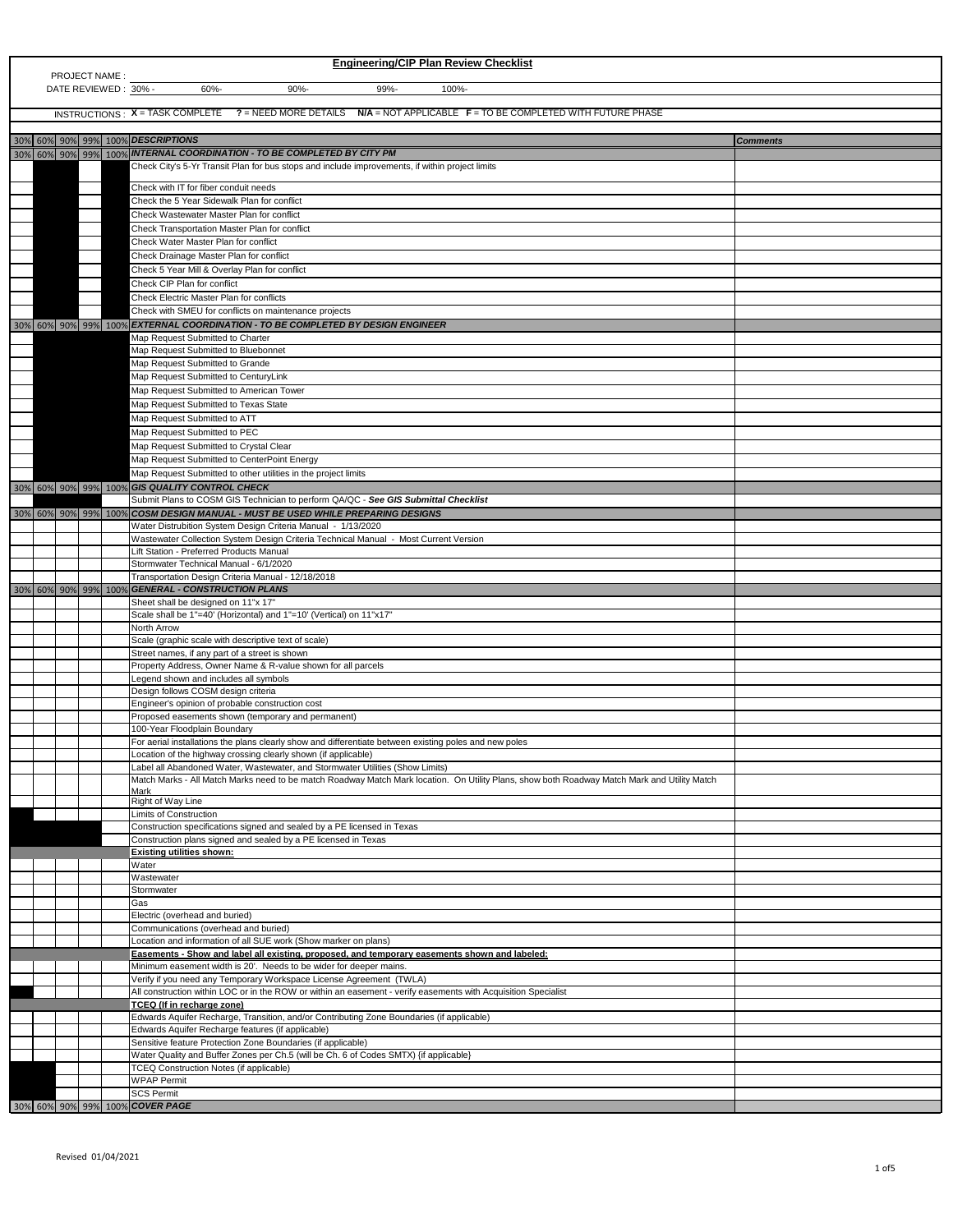| <b>Engineering/CIP Plan Review Checklist</b><br>PROJECT NAME:                                                    |  |  |  |                                                                                                                                                      |                 |  |
|------------------------------------------------------------------------------------------------------------------|--|--|--|------------------------------------------------------------------------------------------------------------------------------------------------------|-----------------|--|
| DATE REVIEWED: 30% -<br>60%-<br>$90% -$<br>99%-<br>100%-                                                         |  |  |  |                                                                                                                                                      |                 |  |
| INSTRUCTIONS: X = TASK COMPLETE ? = NEED MORE DETAILS N/A = NOT APPLICABLE F = TO BE COMPLETED WITH FUTURE PHASE |  |  |  |                                                                                                                                                      |                 |  |
| 30% 60% 90% 99% 100% DESCRIPTIONS                                                                                |  |  |  |                                                                                                                                                      |                 |  |
|                                                                                                                  |  |  |  | 30% 60% 90% 99% 100% MTERNAL COORDINATION - TO BE COMPLETED BY CITY PM                                                                               | <b>Comments</b> |  |
|                                                                                                                  |  |  |  | Check City's 5-Yr Transit Plan for bus stops and include improvements, if within project limits                                                      |                 |  |
|                                                                                                                  |  |  |  | Check with IT for fiber conduit needs                                                                                                                |                 |  |
|                                                                                                                  |  |  |  | Check the 5 Year Sidewalk Plan for conflict<br>Check Wastewater Master Plan for conflict                                                             |                 |  |
|                                                                                                                  |  |  |  | Check Transportation Master Plan for conflict                                                                                                        |                 |  |
|                                                                                                                  |  |  |  | Check Water Master Plan for conflict                                                                                                                 |                 |  |
|                                                                                                                  |  |  |  | Check Drainage Master Plan for conflict<br>Check 5 Year Mill & Overlay Plan for conflict                                                             |                 |  |
|                                                                                                                  |  |  |  | Check CIP Plan for conflict                                                                                                                          |                 |  |
|                                                                                                                  |  |  |  | <b>Check Electric Master Plan for conflicts</b>                                                                                                      |                 |  |
|                                                                                                                  |  |  |  | Check with SMEU for conflicts on maintenance projects<br>30% 60% 90% 99% 100% EXTERNAL COORDINATION - TO BE COMPLETED BY DESIGN ENGINEER             |                 |  |
|                                                                                                                  |  |  |  | Map Request Submitted to Charter                                                                                                                     |                 |  |
|                                                                                                                  |  |  |  | Map Request Submitted to Bluebonnet                                                                                                                  |                 |  |
|                                                                                                                  |  |  |  | Map Request Submitted to Grande<br>Map Request Submitted to CenturyLink                                                                              |                 |  |
|                                                                                                                  |  |  |  | Map Request Submitted to American Tower                                                                                                              |                 |  |
|                                                                                                                  |  |  |  | Map Request Submitted to Texas State                                                                                                                 |                 |  |
|                                                                                                                  |  |  |  | Map Request Submitted to ATT<br>Map Request Submitted to PEC                                                                                         |                 |  |
|                                                                                                                  |  |  |  | Map Request Submitted to Crystal Clear                                                                                                               |                 |  |
|                                                                                                                  |  |  |  | Map Request Submitted to CenterPoint Energy                                                                                                          |                 |  |
|                                                                                                                  |  |  |  | Map Request Submitted to other utilities in the project limits                                                                                       |                 |  |
|                                                                                                                  |  |  |  | 30% 60% 90% 99% 100% GIS QUALITY CONTROL CHECK<br>Submit Plans to COSM GIS Technician to perform QA/QC - See GIS Submittal Checklist                 |                 |  |
|                                                                                                                  |  |  |  | 30% 60% 90% 99% 100% COSM DESIGN MANUAL - MUST BE USED WHILE PREPARING DESIGNS                                                                       |                 |  |
|                                                                                                                  |  |  |  | Water Distrubition System Design Criteria Manual - 1/13/2020<br>Wastewater Collection System Design Criteria Technical Manual - Most Current Version |                 |  |
|                                                                                                                  |  |  |  | Lift Station - Preferred Products Manual                                                                                                             |                 |  |
|                                                                                                                  |  |  |  | Stormwater Technical Manual - 6/1/2020                                                                                                               |                 |  |
|                                                                                                                  |  |  |  | Transportation Design Criteria Manual - 12/18/2018                                                                                                   |                 |  |
|                                                                                                                  |  |  |  |                                                                                                                                                      |                 |  |
|                                                                                                                  |  |  |  | 30% 60% 90% 99% 100% GENERAL - CONSTRUCTION PLANS<br>Sheet shall be designed on 11"x 17"                                                             |                 |  |
|                                                                                                                  |  |  |  | Scale shall be 1"=40' (Horizontal) and 1"=10' (Vertical) on 11"x17"                                                                                  |                 |  |
|                                                                                                                  |  |  |  | North Arrow<br>Scale (graphic scale with descriptive text of scale)                                                                                  |                 |  |
|                                                                                                                  |  |  |  | Street names, if any part of a street is shown                                                                                                       |                 |  |
|                                                                                                                  |  |  |  | Property Address, Owner Name & R-value shown for all parcels<br>Legend shown and includes all symbols                                                |                 |  |
|                                                                                                                  |  |  |  | Design follows COSM design criteria                                                                                                                  |                 |  |
|                                                                                                                  |  |  |  | Engineer's opinion of probable construction cost                                                                                                     |                 |  |
|                                                                                                                  |  |  |  | Proposed easements shown (temporary and permanent)<br>100-Year Floodplain Boundary                                                                   |                 |  |
|                                                                                                                  |  |  |  | For aerial installations the plans clearly show and differentiate between existing poles and new poles                                               |                 |  |
|                                                                                                                  |  |  |  | Location of the highway crossing clearly shown (if applicable)<br>Label all Abandoned Water, Wastewater, and Stormwater Utilities (Show Limits)      |                 |  |
|                                                                                                                  |  |  |  | Match Marks - All Match Marks need to be match Roadway Match Mark location. On Utility Plans, show both Roadway Match Mark and Utility Match         |                 |  |
|                                                                                                                  |  |  |  | <b>Mark</b><br>Right of Way Line                                                                                                                     |                 |  |
|                                                                                                                  |  |  |  | Limits of Construction                                                                                                                               |                 |  |
|                                                                                                                  |  |  |  | Construction specifications signed and sealed by a PE licensed in Texas<br>Construction plans signed and sealed by a PE licensed in Texas            |                 |  |
|                                                                                                                  |  |  |  | <b>Existing utilities shown:</b>                                                                                                                     |                 |  |
|                                                                                                                  |  |  |  | Water                                                                                                                                                |                 |  |
|                                                                                                                  |  |  |  | Wastewater<br>Stormwater                                                                                                                             |                 |  |
|                                                                                                                  |  |  |  | Gas                                                                                                                                                  |                 |  |
|                                                                                                                  |  |  |  | Electric (overhead and buried)<br>Communications (overhead and buried)                                                                               |                 |  |
|                                                                                                                  |  |  |  | Location and information of all SUE work (Show marker on plans)                                                                                      |                 |  |
|                                                                                                                  |  |  |  | Easements - Show and label all existing, proposed, and temporary easements shown and labeled:                                                        |                 |  |
|                                                                                                                  |  |  |  | Minimum easement width is 20'. Needs to be wider for deeper mains.<br>Verify if you need any Temporary Workspace License Agreement (TWLA)            |                 |  |
|                                                                                                                  |  |  |  | All construction within LOC or in the ROW or within an easement - verify easements with Acquisition Specialist                                       |                 |  |
|                                                                                                                  |  |  |  | <b>TCEQ</b> (If in recharge zone)                                                                                                                    |                 |  |
|                                                                                                                  |  |  |  | Edwards Aquifer Recharge, Transition, and/or Contributing Zone Boundaries (if applicable)<br>Edwards Aquifer Recharge features (if applicable)       |                 |  |
|                                                                                                                  |  |  |  | Sensitive feature Protection Zone Boundaries (if applicable)                                                                                         |                 |  |
|                                                                                                                  |  |  |  | Water Quality and Buffer Zones per Ch.5 (will be Ch. 6 of Codes SMTX) {if applicable}<br><b>TCEQ Construction Notes (if applicable)</b>              |                 |  |
|                                                                                                                  |  |  |  | <b>WPAP Permit</b><br><b>SCS Permit</b>                                                                                                              |                 |  |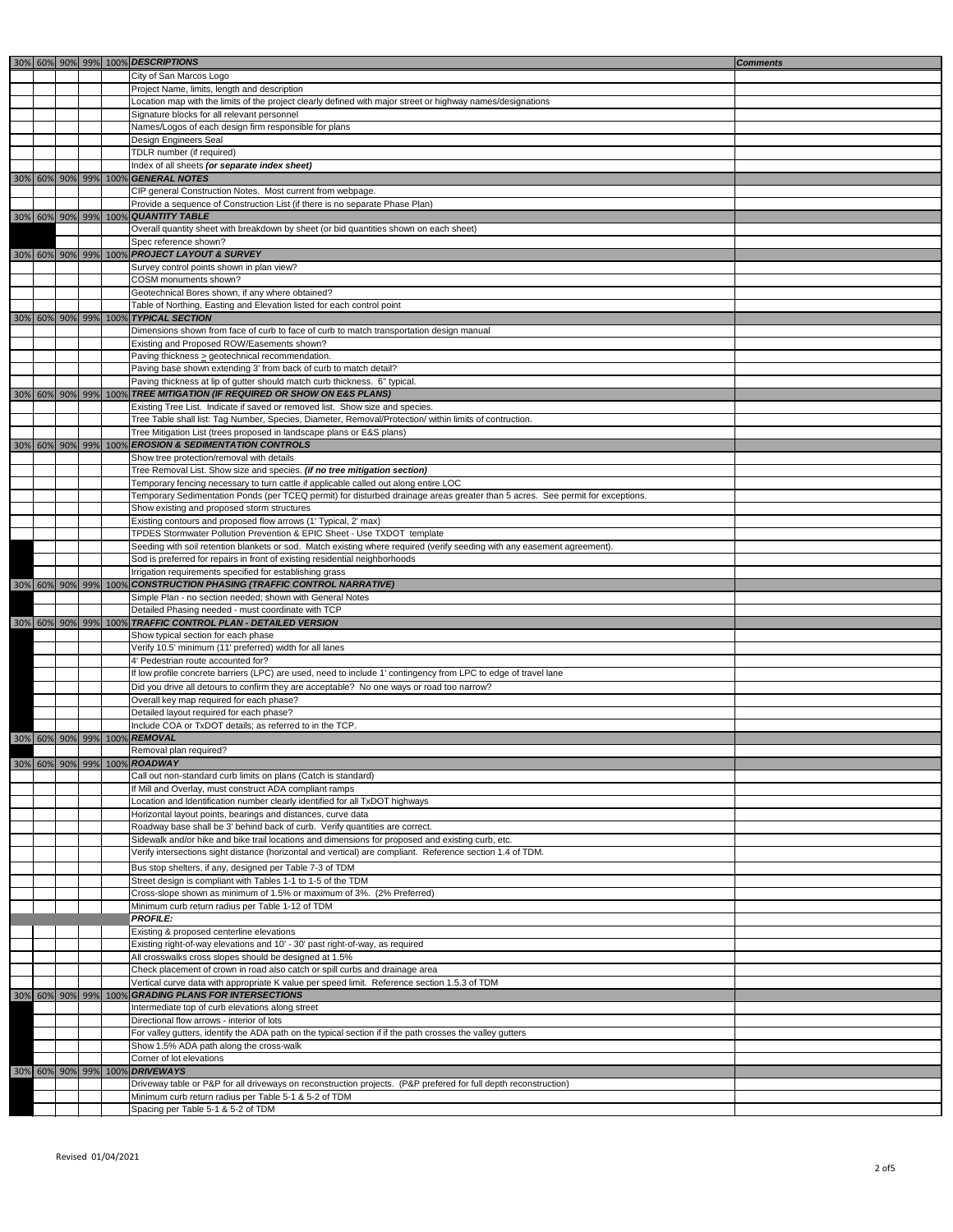|  |  |                      | 30% 60% 90% 99% 100% DESCRIPTIONS                                                                                                                                                        | <b>Comments</b> |
|--|--|----------------------|------------------------------------------------------------------------------------------------------------------------------------------------------------------------------------------|-----------------|
|  |  |                      | City of San Marcos Logo                                                                                                                                                                  |                 |
|  |  |                      | Project Name, limits, length and description                                                                                                                                             |                 |
|  |  |                      | Location map with the limits of the project clearly defined with major street or highway names/designations                                                                              |                 |
|  |  |                      | Signature blocks for all relevant personnel                                                                                                                                              |                 |
|  |  |                      | Names/Logos of each design firm responsible for plans                                                                                                                                    |                 |
|  |  |                      | Design Engineers Seal                                                                                                                                                                    |                 |
|  |  |                      | TDLR number (if required)                                                                                                                                                                |                 |
|  |  |                      | Index of all sheets (or separate index sheet)                                                                                                                                            |                 |
|  |  |                      | 30% 60% 90% 99% 100% <b>GENERAL NOTES</b>                                                                                                                                                |                 |
|  |  |                      | CIP general Construction Notes. Most current from webpage.                                                                                                                               |                 |
|  |  |                      | Provide a sequence of Construction List (if there is no separate Phase Plan)                                                                                                             |                 |
|  |  |                      | 30% 60% 90% 99% 100% QUANTITY TABLE<br>Overall quantity sheet with breakdown by sheet (or bid quantities shown on each sheet)                                                            |                 |
|  |  |                      | Spec reference shown?                                                                                                                                                                    |                 |
|  |  |                      | 30% 60% 90% 99% 100% PROJECT LAYOUT & SURVEY                                                                                                                                             |                 |
|  |  |                      | Survey control points shown in plan view?                                                                                                                                                |                 |
|  |  |                      | COSM monuments shown?                                                                                                                                                                    |                 |
|  |  |                      | Geotechnical Bores shown, if any where obtained?                                                                                                                                         |                 |
|  |  |                      | Table of Northing, Easting and Elevation listed for each control point                                                                                                                   |                 |
|  |  |                      | 30% 60% 90% 99% 100% TYPICAL SECTION                                                                                                                                                     |                 |
|  |  |                      | Dimensions shown from face of curb to face of curb to match transportation design manual                                                                                                 |                 |
|  |  |                      | Existing and Proposed ROW/Easements shown?                                                                                                                                               |                 |
|  |  |                      | Paving thickness > geotechnical recommendation.                                                                                                                                          |                 |
|  |  |                      | Paving base shown extending 3' from back of curb to match detail?                                                                                                                        |                 |
|  |  |                      | Paving thickness at lip of gutter should match curb thickness. 6" typical.                                                                                                               |                 |
|  |  |                      | $\vert$ 30% $\vert$ 60% $\vert$ 90% $\vert$ 99% $\vert$ 100% $\vert$ TREE MITIGATION (IF REQUIRED OR SHOW ON E&S PLANS)                                                                  |                 |
|  |  |                      | Existing Tree List. Indicate if saved or removed list. Show size and species.<br>Tree Table shall list: Tag Number, Species, Diameter, Removal/Protection/ within limits of contruction. |                 |
|  |  |                      | Tree Mitigation List (trees proposed in landscape plans or E&S plans)                                                                                                                    |                 |
|  |  |                      | 30% 60% 90% 99% 100% EROSION & SEDIMENTATION CONTROLS                                                                                                                                    |                 |
|  |  |                      | Show tree protection/removal with details                                                                                                                                                |                 |
|  |  |                      | Tree Removal List. Show size and species. (if no tree mitigation section)                                                                                                                |                 |
|  |  |                      | Temporary fencing necessary to turn cattle if applicable called out along entire LOC                                                                                                     |                 |
|  |  |                      | Temporary Sedimentation Ponds (per TCEQ permit) for disturbed drainage areas greater than 5 acres. See permit for exceptions.                                                            |                 |
|  |  |                      | Show existing and proposed storm structures                                                                                                                                              |                 |
|  |  |                      | Existing contours and proposed flow arrows (1' Typical, 2' max)                                                                                                                          |                 |
|  |  |                      | TPDES Stormwater Pollution Prevention & EPIC Sheet - Use TXDOT template                                                                                                                  |                 |
|  |  |                      | Seeding with soil retention blankets or sod. Match existing where required (verify seeding with any easement agreement).                                                                 |                 |
|  |  |                      | Sod is preferred for repairs in front of existing residential neighborhoods                                                                                                              |                 |
|  |  |                      | Irrigation requirements specified for establishing grass                                                                                                                                 |                 |
|  |  |                      | 30%  60%  90%  99%  100%  CONSTRUCTION PHASING (TRAFFIC CONTROL NARRATIVE)                                                                                                               |                 |
|  |  |                      | Simple Plan - no section needed; shown with General Notes                                                                                                                                |                 |
|  |  |                      | Detailed Phasing needed - must coordinate with TCP<br>30% 60% 90% 99% 100% TRAFFIC CONTROL PLAN - DETAILED VERSION                                                                       |                 |
|  |  |                      | Show typical section for each phase                                                                                                                                                      |                 |
|  |  |                      | Verify 10.5' minimum (11' preferred) width for all lanes                                                                                                                                 |                 |
|  |  |                      | 4' Pedestrian route accounted for?                                                                                                                                                       |                 |
|  |  |                      | If low profile concrete barriers (LPC) are used, need to include 1' contingency from LPC to edge of travel lane                                                                          |                 |
|  |  |                      | Did you drive all detours to confirm they are acceptable? No one ways or road too narrow?                                                                                                |                 |
|  |  |                      | Overall key map required for each phase?                                                                                                                                                 |                 |
|  |  |                      | Detailed layout required for each phase?                                                                                                                                                 |                 |
|  |  |                      | Include COA or TxDOT details; as referred to in the TCP.                                                                                                                                 |                 |
|  |  |                      | 30% 60% 90% 99% 100% REMOVAL                                                                                                                                                             |                 |
|  |  |                      | Removal plan required?                                                                                                                                                                   |                 |
|  |  |                      | 30% 60% 90% 99% 100% ROADWAY                                                                                                                                                             |                 |
|  |  |                      | Call out non-standard curb limits on plans (Catch is standard)<br>If Mill and Overlay, must construct ADA compliant ramps                                                                |                 |
|  |  |                      | Location and Identification number clearly identified for all TxDOT highways                                                                                                             |                 |
|  |  |                      | Horizontal layout points, bearings and distances, curve data                                                                                                                             |                 |
|  |  |                      | Roadway base shall be 3' behind back of curb. Verify quantities are correct.                                                                                                             |                 |
|  |  |                      | Sidewalk and/or hike and bike trail locations and dimensions for proposed and existing curb, etc.                                                                                        |                 |
|  |  |                      | Verify intersections sight distance (horizontal and vertical) are compliant. Reference section 1.4 of TDM.                                                                               |                 |
|  |  |                      | Bus stop shelters, if any, designed per Table 7-3 of TDM                                                                                                                                 |                 |
|  |  |                      | Street design is compliant with Tables 1-1 to 1-5 of the TDM                                                                                                                             |                 |
|  |  |                      | Cross-slope shown as minimum of 1.5% or maximum of 3%. (2% Preferred)                                                                                                                    |                 |
|  |  |                      | Minimum curb return radius per Table 1-12 of TDM                                                                                                                                         |                 |
|  |  |                      | <b>PROFILE:</b>                                                                                                                                                                          |                 |
|  |  |                      | Existing & proposed centerline elevations                                                                                                                                                |                 |
|  |  |                      | Existing right-of-way elevations and 10' - 30' past right-of-way, as required                                                                                                            |                 |
|  |  |                      | All crosswalks cross slopes should be designed at 1.5%                                                                                                                                   |                 |
|  |  |                      | Check placement of crown in road also catch or spill curbs and drainage area                                                                                                             |                 |
|  |  |                      | Vertical curve data with appropriate K value per speed limit. Reference section 1.5.3 of TDM                                                                                             |                 |
|  |  | 30% 60% 90% 99% 100% | GRADING PLANS FOR INTERSECTIONS                                                                                                                                                          |                 |
|  |  |                      | Intermediate top of curb elevations along street                                                                                                                                         |                 |
|  |  |                      | Directional flow arrows - interior of lots<br>For valley gutters, identify the ADA path on the typical section if if the path crosses the valley gutters                                 |                 |
|  |  |                      | Show 1.5% ADA path along the cross-walk                                                                                                                                                  |                 |
|  |  |                      | Corner of lot elevations                                                                                                                                                                 |                 |
|  |  |                      | 30% 60% 90% 99% 100% DRIVEWAYS                                                                                                                                                           |                 |
|  |  |                      | Driveway table or P&P for all driveways on reconstruction projects. (P&P prefered for full depth reconstruction)                                                                         |                 |
|  |  |                      | Minimum curb return radius per Table 5-1 & 5-2 of TDM                                                                                                                                    |                 |
|  |  |                      | Spacing per Table 5-1 & 5-2 of TDM                                                                                                                                                       |                 |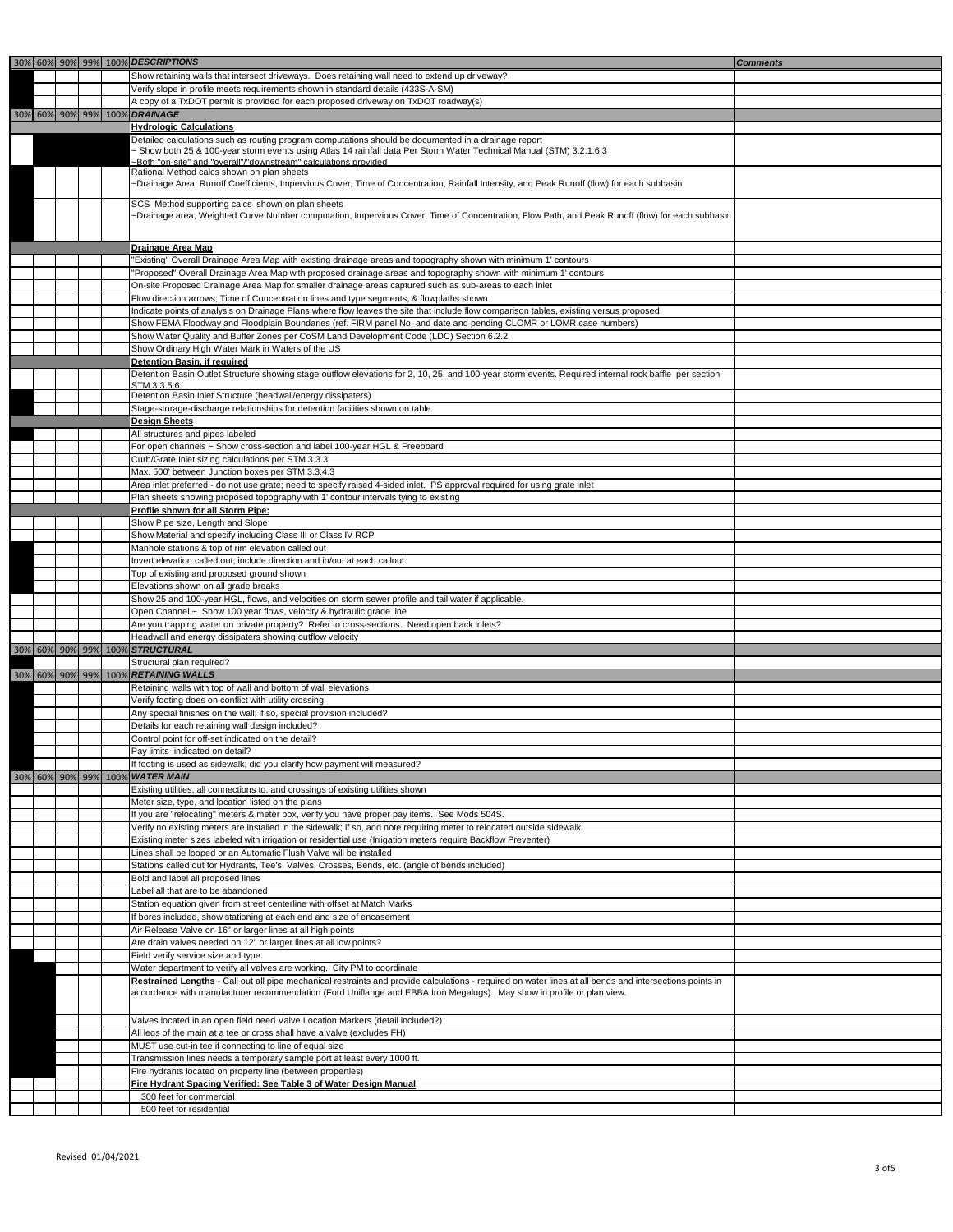Revised 01/04/2021

|  |  | 30% 60% 90% 99% 100% DESCRIPTIONS                                                                                                                                                            | <b>Comments</b> |
|--|--|----------------------------------------------------------------------------------------------------------------------------------------------------------------------------------------------|-----------------|
|  |  | Show retaining walls that intersect driveways. Does retaining wall need to extend up driveway?                                                                                               |                 |
|  |  | Verify slope in profile meets requirements shown in standard details (433S-A-SM)                                                                                                             |                 |
|  |  | A copy of a TxDOT permit is provided for each proposed driveway on TxDOT roadway(s)                                                                                                          |                 |
|  |  | 30% 60% 90% 99% 100% DRAINAGE                                                                                                                                                                |                 |
|  |  | <b>Hydrologic Calculations</b>                                                                                                                                                               |                 |
|  |  | Detailed calculations such as routing program computations should be documented in a drainage report                                                                                         |                 |
|  |  | - Show both 25 & 100-year storm events using Atlas 14 rainfall data Per Storm Water Technical Manual (STM) 3.2.1.6.3                                                                         |                 |
|  |  | ~Both "on-site" and "overall"/"downstream" calculations provided<br>Rational Method calcs shown on plan sheets                                                                               |                 |
|  |  | ~Drainage Area, Runoff Coefficients, Impervious Cover, Time of Concentration, Rainfall Intensity, and Peak Runoff (flow) for each subbasin                                                   |                 |
|  |  |                                                                                                                                                                                              |                 |
|  |  | SCS Method supporting calcs shown on plan sheets                                                                                                                                             |                 |
|  |  | ~Drainage area, Weighted Curve Number computation, Impervious Cover, Time of Concentration, Flow Path, and Peak Runoff (flow) for each subbasin                                              |                 |
|  |  |                                                                                                                                                                                              |                 |
|  |  | <b>Drainage Area Map</b>                                                                                                                                                                     |                 |
|  |  | "Existing" Overall Drainage Area Map with existing drainage areas and topography shown with minimum 1' contours                                                                              |                 |
|  |  | "Proposed" Overall Drainage Area Map with proposed drainage areas and topography shown with minimum 1' contours                                                                              |                 |
|  |  | On-site Proposed Drainage Area Map for smaller drainage areas captured such as sub-areas to each inlet                                                                                       |                 |
|  |  | Flow direction arrows, Time of Concentration lines and type segments, & flowplaths shown                                                                                                     |                 |
|  |  | Indicate points of analysis on Drainage Plans where flow leaves the site that include flow comparison tables, existing versus proposed                                                       |                 |
|  |  | Show FEMA Floodway and Floodplain Boundaries (ref. FIRM panel No. and date and pending CLOMR or LOMR case numbers)                                                                           |                 |
|  |  | Show Water Quality and Buffer Zones per CoSM Land Development Code (LDC) Section 6.2.2                                                                                                       |                 |
|  |  | Show Ordinary High Water Mark in Waters of the US                                                                                                                                            |                 |
|  |  | <b>Detention Basin, if required</b><br>Detention Basin Outlet Structure showing stage outflow elevations for 2, 10, 25, and 100-year storm events. Required internal rock baffle per section |                 |
|  |  | STM 3.3.5.6.                                                                                                                                                                                 |                 |
|  |  | Detention Basin Inlet Structure (headwall/energy dissipaters)                                                                                                                                |                 |
|  |  | Stage-storage-discharge relationships for detention facilities shown on table                                                                                                                |                 |
|  |  | <b>Design Sheets</b>                                                                                                                                                                         |                 |
|  |  | All structures and pipes labeled                                                                                                                                                             |                 |
|  |  | For open channels ~ Show cross-section and label 100-year HGL & Freeboard                                                                                                                    |                 |
|  |  | Curb/Grate Inlet sizing calculations per STM 3.3.3                                                                                                                                           |                 |
|  |  | Max. 500' between Junction boxes per STM 3.3.4.3                                                                                                                                             |                 |
|  |  | Area inlet preferred - do not use grate; need to specify raised 4-sided inlet. PS approval required for using grate inlet                                                                    |                 |
|  |  | Plan sheets showing proposed topography with 1' contour intervals tying to existing                                                                                                          |                 |
|  |  | <b>Profile shown for all Storm Pipe:</b>                                                                                                                                                     |                 |
|  |  | Show Pipe size, Length and Slope                                                                                                                                                             |                 |
|  |  | Show Material and specify including Class III or Class IV RCP                                                                                                                                |                 |
|  |  | Manhole stations & top of rim elevation called out                                                                                                                                           |                 |
|  |  | Invert elevation called out; include direction and in/out at each callout.<br>Top of existing and proposed ground shown                                                                      |                 |
|  |  | Elevations shown on all grade breaks                                                                                                                                                         |                 |
|  |  | Show 25 and 100-year HGL, flows, and velocities on storm sewer profile and tail water if applicable.                                                                                         |                 |
|  |  | Open Channel ~ Show 100 year flows, velocity & hydraulic grade line                                                                                                                          |                 |
|  |  | Are you trapping water on private property? Refer to cross-sections. Need open back inlets?                                                                                                  |                 |
|  |  | Headwall and energy dissipaters showing outflow velocity                                                                                                                                     |                 |
|  |  | 30% 60% 90% 99% 100% STRUCTURAL                                                                                                                                                              |                 |
|  |  | Structural plan required?                                                                                                                                                                    |                 |
|  |  | 30% 60% 90% 99% 100% RETAINING WALLS                                                                                                                                                         |                 |
|  |  | Retaining walls with top of wall and bottom of wall elevations                                                                                                                               |                 |
|  |  | Verify footing does on conflict with utility crossing                                                                                                                                        |                 |
|  |  | Any special finishes on the wall; if so, special provision included?                                                                                                                         |                 |
|  |  | Details for each retaining wall design included?<br>Control point for off-set indicated on the detail?                                                                                       |                 |
|  |  | Pay limits indicated on detail?                                                                                                                                                              |                 |
|  |  | If footing is used as sidewalk; did you clarify how payment will measured?                                                                                                                   |                 |
|  |  | 30% 60% 90% 99% 100% WATER MAIN                                                                                                                                                              |                 |
|  |  | Existing utilities, all connections to, and crossings of existing utilities shown                                                                                                            |                 |
|  |  | Meter size, type, and location listed on the plans                                                                                                                                           |                 |
|  |  | If you are "relocating" meters & meter box, verify you have proper pay items. See Mods 504S.                                                                                                 |                 |
|  |  | Verify no existing meters are installed in the sidewalk; if so, add note requiring meter to relocated outside sidewalk.                                                                      |                 |
|  |  | Existing meter sizes labeled with irrigation or residential use (Irrigation meters require Backflow Preventer)                                                                               |                 |
|  |  | Lines shall be looped or an Automatic Flush Valve will be installed                                                                                                                          |                 |
|  |  | Stations called out for Hydrants, Tee's, Valves, Crosses, Bends, etc. (angle of bends included)                                                                                              |                 |
|  |  | Bold and label all proposed lines                                                                                                                                                            |                 |
|  |  | Label all that are to be abandoned                                                                                                                                                           |                 |
|  |  | Station equation given from street centerline with offset at Match Marks                                                                                                                     |                 |
|  |  | If bores included, show stationing at each end and size of encasement                                                                                                                        |                 |
|  |  | Air Release Valve on 16" or larger lines at all high points                                                                                                                                  |                 |
|  |  | Are drain valves needed on 12" or larger lines at all low points?                                                                                                                            |                 |
|  |  | Field verify service size and type.<br>Water department to verify all valves are working. City PM to coordinate                                                                              |                 |
|  |  | Restrained Lengths - Call out all pipe mechanical restraints and provide calculations - required on water lines at all bends and intersections points in                                     |                 |
|  |  | accordance with manufacturer recommendation (Ford Uniflange and EBBA Iron Megalugs). May show in profile or plan view.                                                                       |                 |
|  |  |                                                                                                                                                                                              |                 |
|  |  | Valves located in an open field need Valve Location Markers (detail included?)                                                                                                               |                 |
|  |  | All legs of the main at a tee or cross shall have a valve (excludes FH)                                                                                                                      |                 |
|  |  | MUST use cut-in tee if connecting to line of equal size                                                                                                                                      |                 |
|  |  | Transmission lines needs a temporary sample port at least every 1000 ft.                                                                                                                     |                 |
|  |  | Fire hydrants located on property line (between properties)                                                                                                                                  |                 |
|  |  | Fire Hydrant Spacing Verified: See Table 3 of Water Design Manual                                                                                                                            |                 |
|  |  | 300 feet for commercial                                                                                                                                                                      |                 |
|  |  | 500 feet for residential                                                                                                                                                                     |                 |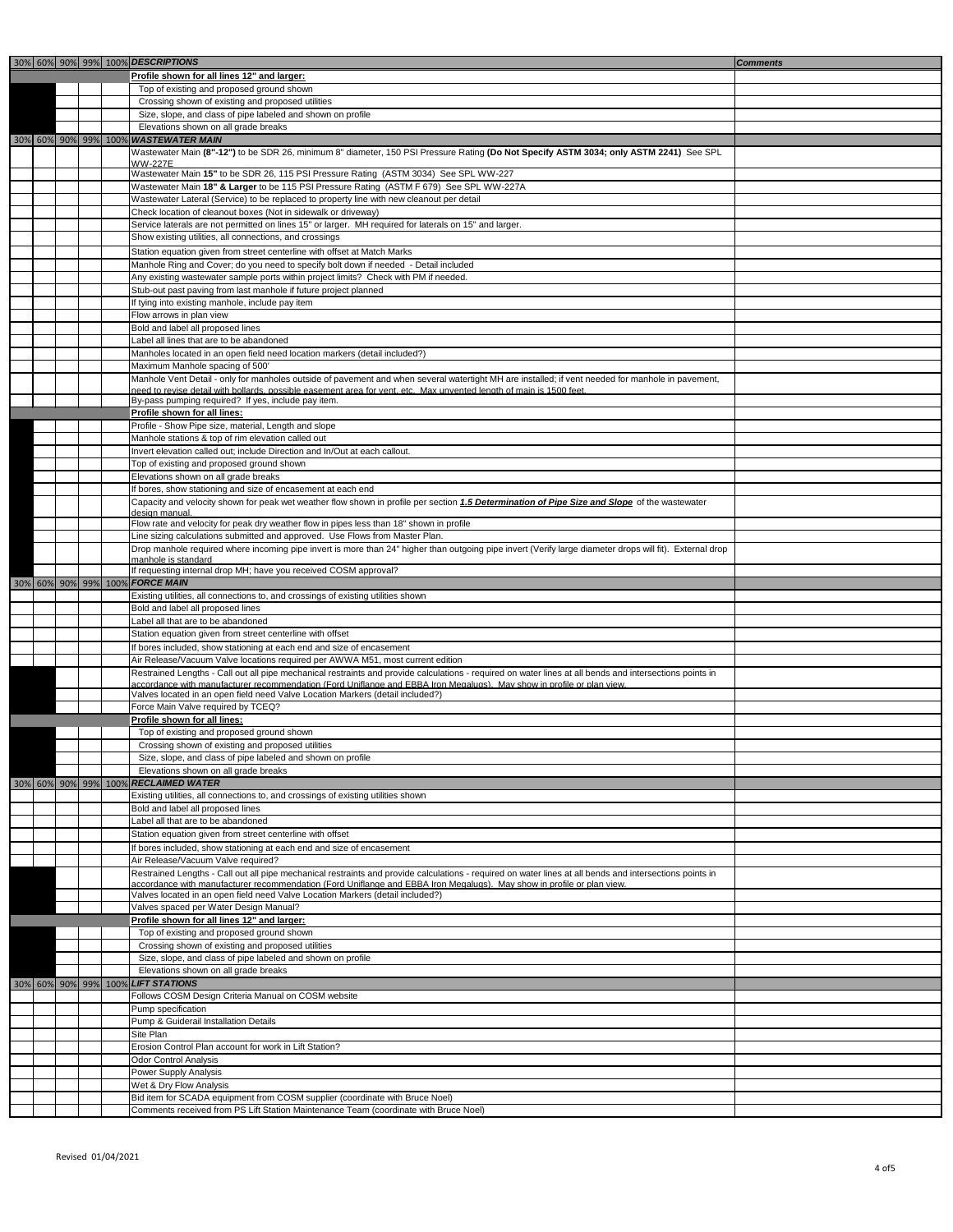Revised 01/04/2021

|  |  | 30% 60% 90% 99% 100% DESCRIPTIONS<br><b>Comments</b>                                                                                                                                                                                                                               |
|--|--|------------------------------------------------------------------------------------------------------------------------------------------------------------------------------------------------------------------------------------------------------------------------------------|
|  |  | Profile shown for all lines 12" and larger:                                                                                                                                                                                                                                        |
|  |  | Top of existing and proposed ground shown                                                                                                                                                                                                                                          |
|  |  | Crossing shown of existing and proposed utilities                                                                                                                                                                                                                                  |
|  |  | Size, slope, and class of pipe labeled and shown on profile                                                                                                                                                                                                                        |
|  |  | Elevations shown on all grade breaks                                                                                                                                                                                                                                               |
|  |  | 30% 60% 90% 99% 100% WASTEWATER MAIN                                                                                                                                                                                                                                               |
|  |  | Wastewater Main (8"-12") to be SDR 26, minimum 8" diameter, 150 PSI Pressure Rating (Do Not Specify ASTM 3034; only ASTM 2241) See SPL                                                                                                                                             |
|  |  | <b>WW-227E</b>                                                                                                                                                                                                                                                                     |
|  |  | Wastewater Main 15" to be SDR 26, 115 PSI Pressure Rating (ASTM 3034) See SPL WW-227                                                                                                                                                                                               |
|  |  | Wastewater Main 18" & Larger to be 115 PSI Pressure Rating (ASTM F 679) See SPL WW-227A                                                                                                                                                                                            |
|  |  | Wastewater Lateral (Service) to be replaced to property line with new cleanout per detail                                                                                                                                                                                          |
|  |  | Check location of cleanout boxes (Not in sidewalk or driveway)                                                                                                                                                                                                                     |
|  |  | Service laterals are not permitted on lines 15" or larger. MH required for laterals on 15" and larger.                                                                                                                                                                             |
|  |  | Show existing utilities, all connections, and crossings                                                                                                                                                                                                                            |
|  |  | Station equation given from street centerline with offset at Match Marks                                                                                                                                                                                                           |
|  |  | Manhole Ring and Cover; do you need to specify bolt down if needed - Detail included<br>Any existing wastewater sample ports within project limits? Check with PM if needed.                                                                                                       |
|  |  | Stub-out past paving from last manhole if future project planned                                                                                                                                                                                                                   |
|  |  | If tying into existing manhole, include pay item                                                                                                                                                                                                                                   |
|  |  | Flow arrows in plan view                                                                                                                                                                                                                                                           |
|  |  | Bold and label all proposed lines                                                                                                                                                                                                                                                  |
|  |  | Label all lines that are to be abandoned                                                                                                                                                                                                                                           |
|  |  | Manholes located in an open field need location markers (detail included?)                                                                                                                                                                                                         |
|  |  | Maximum Manhole spacing of 500'                                                                                                                                                                                                                                                    |
|  |  | Manhole Vent Detail - only for manholes outside of pavement and when several watertight MH are installed; if vent needed for manhole in pavement,                                                                                                                                  |
|  |  | need to revise detail with bollards, possible easement area for vent, etc. Max unvented length of main is 1500 feet                                                                                                                                                                |
|  |  | By-pass pumping required? If yes, include pay item.                                                                                                                                                                                                                                |
|  |  | Profile shown for all lines:                                                                                                                                                                                                                                                       |
|  |  | Profile - Show Pipe size, material, Length and slope                                                                                                                                                                                                                               |
|  |  | Manhole stations & top of rim elevation called out<br>Invert elevation called out; include Direction and In/Out at each callout.                                                                                                                                                   |
|  |  | Top of existing and proposed ground shown                                                                                                                                                                                                                                          |
|  |  | Elevations shown on all grade breaks                                                                                                                                                                                                                                               |
|  |  | If bores, show stationing and size of encasement at each end                                                                                                                                                                                                                       |
|  |  | Capacity and velocity shown for peak wet weather flow shown in profile per section 1.5 Determination of Pipe Size and Slope of the wastewater                                                                                                                                      |
|  |  | design manual                                                                                                                                                                                                                                                                      |
|  |  | Flow rate and velocity for peak dry weather flow in pipes less than 18" shown in profile                                                                                                                                                                                           |
|  |  | Line sizing calculations submitted and approved. Use Flows from Master Plan.                                                                                                                                                                                                       |
|  |  | Drop manhole required where incoming pipe invert is more than 24" higher than outgoing pipe invert (Verify large diameter drops will fit). External drop<br>manhole is standard                                                                                                    |
|  |  | If requesting internal drop MH; have you received COSM approval?                                                                                                                                                                                                                   |
|  |  | 30% 60% 90% 99% 100% FORCE MAIN                                                                                                                                                                                                                                                    |
|  |  | Existing utilities, all connections to, and crossings of existing utilities shown                                                                                                                                                                                                  |
|  |  | Bold and label all proposed lines                                                                                                                                                                                                                                                  |
|  |  | Label all that are to be abandoned                                                                                                                                                                                                                                                 |
|  |  | Station equation given from street centerline with offset                                                                                                                                                                                                                          |
|  |  | If bores included, show stationing at each end and size of encasement                                                                                                                                                                                                              |
|  |  | Air Release/Vacuum Valve locations required per AWWA M51, most current edition                                                                                                                                                                                                     |
|  |  | Restrained Lengths - Call out all pipe mechanical restraints and provide calculations - required on water lines at all bends and intersections points in<br>accordance with manufacturer recommendation (Ford Uniflange and EBBA Iron Megalugs). May show in profile or plan view. |
|  |  | Valves located in an open field need Valve Location Markers (detail included?)                                                                                                                                                                                                     |
|  |  | Force Main Valve required by TCEQ?                                                                                                                                                                                                                                                 |
|  |  | Profile shown for all lines:                                                                                                                                                                                                                                                       |
|  |  | Top of existing and proposed ground shown                                                                                                                                                                                                                                          |
|  |  | Crossing shown of existing and proposed utilities                                                                                                                                                                                                                                  |
|  |  | Size, slope, and class of pipe labeled and shown on profile                                                                                                                                                                                                                        |
|  |  | Elevations shown on all grade breaks                                                                                                                                                                                                                                               |
|  |  | 30% 60% 90% 99% 100% RECLAIMED WATER                                                                                                                                                                                                                                               |
|  |  | Existing utilities, all connections to, and crossings of existing utilities shown                                                                                                                                                                                                  |
|  |  | Bold and label all proposed lines<br>Label all that are to be abandoned                                                                                                                                                                                                            |
|  |  | Station equation given from street centerline with offset                                                                                                                                                                                                                          |
|  |  | If bores included, show stationing at each end and size of encasement                                                                                                                                                                                                              |
|  |  | Air Release/Vacuum Valve required?                                                                                                                                                                                                                                                 |
|  |  | Restrained Lengths - Call out all pipe mechanical restraints and provide calculations - required on water lines at all bends and intersections points in                                                                                                                           |
|  |  | accordance with manufacturer recommendation (Ford Uniflange and EBBA Iron Megalugs). May show in profile or plan view.                                                                                                                                                             |
|  |  | Valves located in an open field need Valve Location Markers (detail included?)                                                                                                                                                                                                     |
|  |  | Valves spaced per Water Design Manual?                                                                                                                                                                                                                                             |
|  |  | Profile shown for all lines 12" and larger:                                                                                                                                                                                                                                        |
|  |  | Top of existing and proposed ground shown                                                                                                                                                                                                                                          |
|  |  | Crossing shown of existing and proposed utilities                                                                                                                                                                                                                                  |
|  |  | Size, slope, and class of pipe labeled and shown on profile<br>Elevations shown on all grade breaks                                                                                                                                                                                |
|  |  | 30% 60% 90% 99% 100% LIFT STATIONS                                                                                                                                                                                                                                                 |
|  |  | Follows COSM Design Criteria Manual on COSM website                                                                                                                                                                                                                                |
|  |  | Pump specification                                                                                                                                                                                                                                                                 |
|  |  | Pump & Guiderail Installation Details                                                                                                                                                                                                                                              |
|  |  | Site Plan                                                                                                                                                                                                                                                                          |
|  |  | Erosion Control Plan account for work in Lift Station?                                                                                                                                                                                                                             |
|  |  | <b>Odor Control Analysis</b>                                                                                                                                                                                                                                                       |
|  |  | <b>Power Supply Analysis</b>                                                                                                                                                                                                                                                       |
|  |  | Wet & Dry Flow Analysis                                                                                                                                                                                                                                                            |
|  |  | Bid item for SCADA equipment from COSM supplier (coordinate with Bruce Noel)<br>Comments received from PS Lift Station Maintenance Team (coordinate with Bruce Noel)                                                                                                               |
|  |  |                                                                                                                                                                                                                                                                                    |